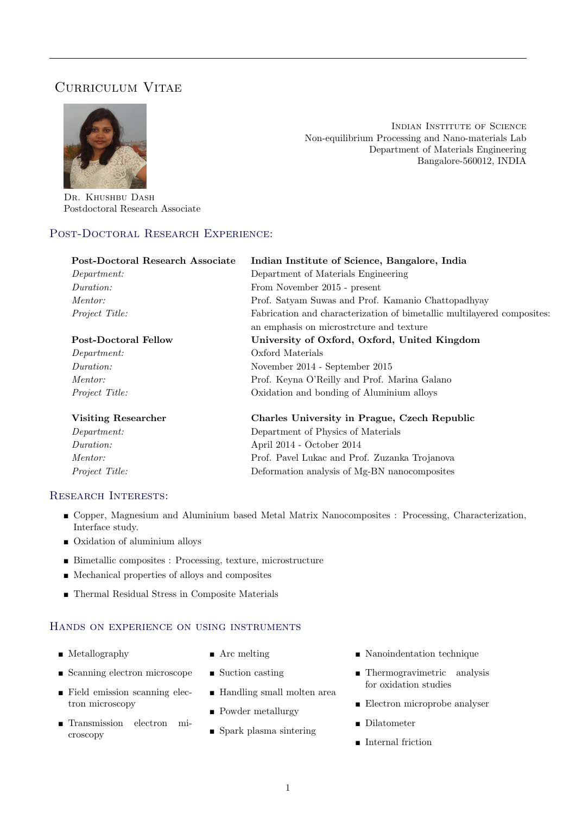# Curriculum Vitae



Dr. Khushbu Dash Postdoctoral Research Associate

Indian Institute of Science Non-equilibrium Processing and Nano-materials Lab Department of Materials Engineering Bangalore-560012, INDIA

# Post-Doctoral Research Experience:

| Post-Doctoral Research Associate | Indian Institute of Science, Bangalore, India                           |
|----------------------------------|-------------------------------------------------------------------------|
| Department:                      | Department of Materials Engineering                                     |
| Duration:                        | From November 2015 - present                                            |
| <i>Mentor:</i>                   | Prof. Satyam Suwas and Prof. Kamanio Chattopadhyay                      |
| Project Title:                   | Fabrication and characterization of bimetallic multilayered composites: |
|                                  | an emphasis on microstricture and texture                               |
| <b>Post-Doctoral Fellow</b>      | University of Oxford, Oxford, United Kingdom                            |
| Department:                      | Oxford Materials                                                        |
| Duration:                        | November 2014 - September 2015                                          |
| <i>Mentor:</i>                   | Prof. Keyna O'Reilly and Prof. Marina Galano                            |
| Project Title:                   | Oxidation and bonding of Aluminium alloys                               |
| <b>Visiting Researcher</b>       | Charles University in Prague, Czech Republic                            |
| Department:                      | Department of Physics of Materials                                      |
| Duration:                        | April 2014 - October 2014                                               |
| <i>Mentor:</i>                   | Prof. Pavel Lukac and Prof. Zuzanka Trojanova                           |

### Research Interests:

 Copper, Magnesium and Aluminium based Metal Matrix Nanocomposites : Processing, Characterization, Interface study.

Project Title: Deformation analysis of Mg-BN nanocomposites

- Oxidation of aluminium alloys
- Bimetallic composites : Processing, texture, microstructure
- Mechanical properties of alloys and composites
- Thermal Residual Stress in Composite Materials

### Hands on experience on using instruments

- **Metallography**
- Scanning electron microscope
- Field emission scanning electron microscopy
- Transmission electron microscopy
- Arc melting
- $\blacksquare$  Suction casting
- Handling small molten area
- **Powder metallurgy**
- Spark plasma sintering
- Nanoindentation technique
- **n** Thermogravimetric analysis for oxidation studies
- **Electron microprobe analyser**
- **Dilatometer**
- $\blacksquare$  Internal friction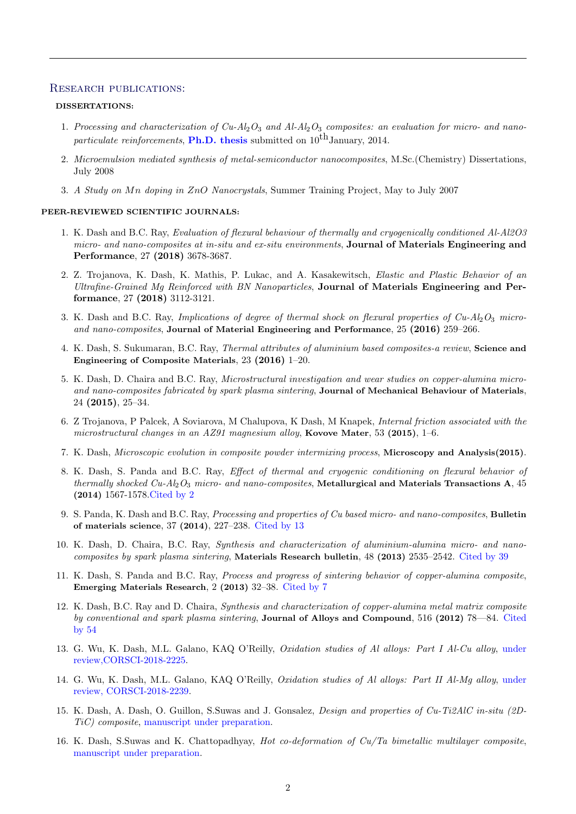#### Research publications:

#### DISSERTATIONS:

- 1. Processing and characterization of  $Cu-Al_2O_3$  and  $Al-Al_2O_3$  composites: an evaluation for micro- and nano*particulate reinforcements*, **Ph.D.** thesis submitted on  $10^{th}$ January, 2014.
- 2. Microemulsion mediated synthesis of metal-semiconductor nanocomposites, M.Sc.(Chemistry) Dissertations, July 2008
- 3. A Study on Mn doping in ZnO Nanocrystals, Summer Training Project, May to July 2007

#### PEER-REVIEWED SCIENTIFIC JOURNALS:

- 1. K. Dash and B.C. Ray, Evaluation of flexural behaviour of thermally and cryogenically conditioned Al-Al2O3 micro- and nano-composites at in-situ and ex-situ environments, **Journal of Materials Engineering and** Performance, 27 (2018) 3678-3687.
- 2. Z. Trojanova, K. Dash, K. Mathis, P. Lukac, and A. Kasakewitsch, Elastic and Plastic Behavior of an Ultrafine-Grained Mg Reinforced with BN Nanoparticles, Journal of Materials Engineering and Performance, 27 (2018) 3112-3121.
- 3. K. Dash and B.C. Ray, Implications of degree of thermal shock on flexural properties of  $Cu-Al<sub>2</sub>O<sub>3</sub>$  microand nano-composites, Journal of Material Engineering and Performance, 25 (2016) 259–266.
- 4. K. Dash, S. Sukumaran, B.C. Ray, Thermal attributes of aluminium based composites-a review, Science and Engineering of Composite Materials, 23 (2016) 1–20.
- 5. K. Dash, D. Chaira and B.C. Ray, Microstructural investigation and wear studies on copper-alumina microand nano-composites fabricated by spark plasma sintering, Journal of Mechanical Behaviour of Materials, 24 (2015), 25–34.
- 6. Z Trojanova, P Palcek, A Soviarova, M Chalupova, K Dash, M Knapek, Internal friction associated with the microstructural changes in an AZ91 magnesium alloy, **Kovove Mater**, 53 (2015), 1–6.
- 7. K. Dash, Microscopic evolution in composite powder intermixing process, Microscopy and Analysis(2015).
- 8. K. Dash, S. Panda and B.C. Ray, Effect of thermal and cryogenic conditioning on flexural behavior of thermally shocked  $Cu-AbO_3$  micro- and nano-composites, Metallurgical and Materials Transactions A, 45 (2014) 1567-1578.Cited by 2
- 9. S. Panda, K. Dash and B.C. Ray, Processing and properties of Cu based micro- and nano-composites, Bulletin of materials science, 37 (2014), 227–238. Cited by 13
- 10. K. Dash, D. Chaira, B.C. Ray, Synthesis and characterization of aluminium-alumina micro- and nanocomposites by spark plasma sintering, Materials Research bulletin, 48 (2013) 2535–2542. Cited by 39
- 11. K. Dash, S. Panda and B.C. Ray, Process and progress of sintering behavior of copper-alumina composite, Emerging Materials Research, 2 (2013) 32–38. Cited by 7
- 12. K. Dash, B.C. Ray and D. Chaira, Synthesis and characterization of copper-alumina metal matrix composite by conventional and spark plasma sintering, Journal of Alloys and Compound, 516 (2012) 78—84. Cited by 54
- 13. G. Wu, K. Dash, M.L. Galano, KAQ O'Reilly, Oxidation studies of Al alloys: Part I Al-Cu alloy, under review,CORSCI-2018-2225.
- 14. G. Wu, K. Dash, M.L. Galano, KAQ O'Reilly, Oxidation studies of Al alloys: Part II Al-Mg alloy, under review, CORSCI-2018-2239.
- 15. K. Dash, A. Dash, O. Guillon, S.Suwas and J. Gonsalez, Design and properties of Cu-Ti2AlC in-situ (2D-TiC) composite, manuscript under preparation.
- 16. K. Dash, S.Suwas and K. Chattopadhyay, Hot co-deformation of Cu/Ta bimetallic multilayer composite, manuscript under preparation.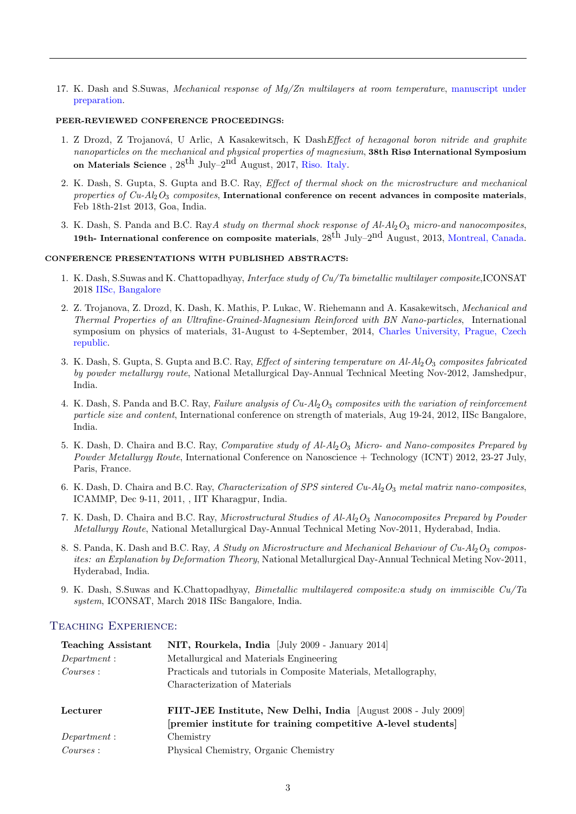17. K. Dash and S.Suwas, Mechanical response of Mg/Zn multilayers at room temperature, manuscript under preparation.

#### PEER-REVIEWED CONFERENCE PROCEEDINGS:

- 1. Z Drozd, Z Trojanová, U Arlic, A Kasakewitsch, K Dash Effect of hexagonal boron nitride and graphite nanoparticles on the mechanical and physical properties of magnesium, 38th Risø International Symposium on Materials Science ,  $28^{\text{th}}$  July– $2^{\text{nd}}$  August, 2017, Riso. Italy.
- 2. K. Dash, S. Gupta, S. Gupta and B.C. Ray, Effect of thermal shock on the microstructure and mechanical properties of  $Cu-Al_2O_3$  composites, International conference on recent advances in composite materials, Feb 18th-21st 2013, Goa, India.
- 3. K. Dash, S. Panda and B.C. Ray A study on thermal shock response of  $Al-Al_2O_3$  micro-and nanocomposites, 19th- International conference on composite materials,  $28^{th}$  July– $2^{nd}$  August, 2013, Montreal, Canada.

#### CONFERENCE PRESENTATIONS WITH PUBLISHED ABSTRACTS:

- 1. K. Dash, S.Suwas and K. Chattopadhyay, Interface study of  $Cu/Ta$  bimetallic multilayer composite,ICONSAT 2018 IISc, Bangalore
- 2. Z. Trojanova, Z. Drozd, K. Dash, K. Mathis, P. Lukac, W. Riehemann and A. Kasakewitsch, Mechanical and Thermal Properties of an Ultrafine-Grained-Magnesium Reinforced with BN Nano-particles, International symposium on physics of materials, 31-August to 4-September, 2014, Charles University, Prague, Czech republic.
- 3. K. Dash, S. Gupta, S. Gupta and B.C. Ray, *Effect of sintering temperature on*  $Al-Al_2O_3$  *composites fabricated* by powder metallurgy route, National Metallurgical Day-Annual Technical Meeting Nov-2012, Jamshedpur, India.
- 4. K. Dash, S. Panda and B.C. Ray, Failure analysis of  $Cu-Al<sub>2</sub>O<sub>3</sub>$  composites with the variation of reinforcement particle size and content, International conference on strength of materials, Aug 19-24, 2012, IISc Bangalore, India.
- 5. K. Dash, D. Chaira and B.C. Ray, Comparative study of  $Al-Al_2O_3$  Micro- and Nano-composites Prepared by Powder Metallurgy Route, International Conference on Nanoscience + Technology (ICNT) 2012, 23-27 July, Paris, France.
- 6. K. Dash, D. Chaira and B.C. Ray, Characterization of SPS sintered Cu-Al<sub>2</sub>O<sub>3</sub> metal matrix nano-composites, ICAMMP, Dec 9-11, 2011, , IIT Kharagpur, India.
- 7. K. Dash, D. Chaira and B.C. Ray, Microstructural Studies of Al-Al<sub>2</sub>O<sub>3</sub> Nanocomposites Prepared by Powder Metallurgy Route, National Metallurgical Day-Annual Technical Meting Nov-2011, Hyderabad, India.
- 8. S. Panda, K. Dash and B.C. Ray, A Study on Microstructure and Mechanical Behaviour of  $Cu$ -Al<sub>2</sub>O<sub>3</sub> composites: an Explanation by Deformation Theory, National Metallurgical Day-Annual Technical Meting Nov-2011, Hyderabad, India.
- 9. K. Dash, S.Suwas and K.Chattopadhyay, Bimetallic multilayered composite:a study on immiscible Cu/Ta system, ICONSAT, March 2018 IISc Bangalore, India.

#### Teaching Experience:

| <b>Teaching Assistant</b> | NIT, Rourkela, India [July 2009 - January 2014]                 |
|---------------------------|-----------------------------------------------------------------|
| Department:               | Metallurgical and Materials Engineering                         |
| Conrses:                  | Practicals and tutorials in Composite Materials, Metallography, |
|                           | Characterization of Materials                                   |
| Lecturer                  | FIIT-JEE Institute, New Delhi, India [August 2008 - July 2009]  |
|                           | [premier institute for training competitive A-level students]   |
| Department:               | Chemistry                                                       |
| $Conress$ :               | Physical Chemistry, Organic Chemistry                           |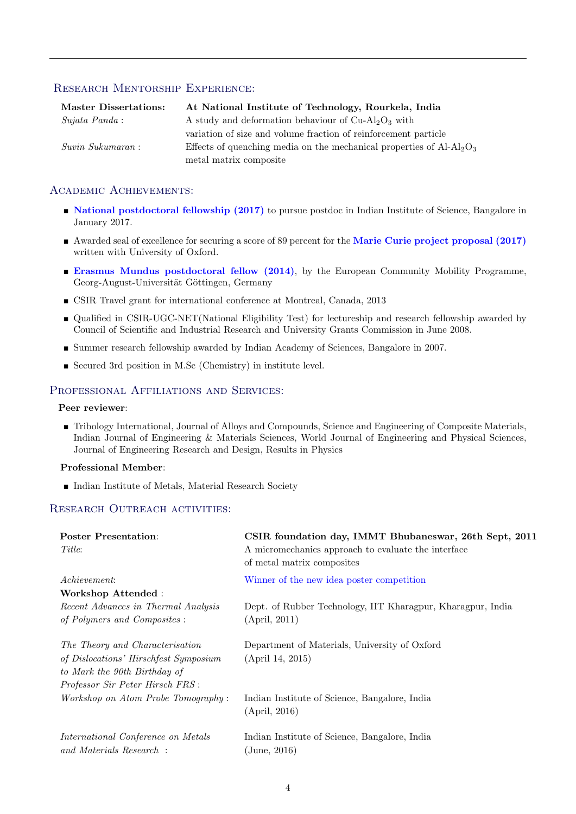# Research Mentorship Experience:

| <b>Master Dissertations:</b> | At National Institute of Technology, Rourkela, India                    |
|------------------------------|-------------------------------------------------------------------------|
| Sujata Panda:                | A study and deformation behaviour of $Cu-Al2O3$ with                    |
|                              | variation of size and volume fraction of reinforcement particle         |
| Suvin Sukumaran:             | Effects of quenching media on the mechanical properties of $A1-A1_2O_3$ |
|                              | metal matrix composite                                                  |

# Academic Achievements:

- National postdoctoral fellowship (2017) to pursue postdoc in Indian Institute of Science, Bangalore in January 2017.
- Awarded seal of excellence for securing a score of 89 percent for the Marie Curie project proposal (2017) written with University of Oxford.
- **Example Mundus postdoctoral fellow (2014)**, by the European Community Mobility Programme, Georg-August-Universität Göttingen, Germany
- CSIR Travel grant for international conference at Montreal, Canada, 2013
- Qualified in CSIR-UGC-NET(National Eligibility Test) for lectureship and research fellowship awarded by Council of Scientific and Industrial Research and University Grants Commission in June 2008.
- Summer research fellowship awarded by Indian Academy of Sciences, Bangalore in 2007.
- Secured 3rd position in M.Sc (Chemistry) in institute level.

### PROFESSIONAL AFFILIATIONS AND SERVICES:

### Peer reviewer:

 Tribology International, Journal of Alloys and Compounds, Science and Engineering of Composite Materials, Indian Journal of Engineering & Materials Sciences, World Journal of Engineering and Physical Sciences, Journal of Engineering Research and Design, Results in Physics

#### Professional Member:

 $\blacksquare$  Indian Institute of Metals, Material Research Society

# RESEARCH OUTREACH ACTIVITIES:

| <b>Poster Presentation:</b>               | CSIR foundation day, IMMT Bhubaneswar, 26th Sept, 2011      |
|-------------------------------------------|-------------------------------------------------------------|
| Title:                                    | A micromechanics approach to evaluate the interface         |
|                                           | of metal matrix composites                                  |
| <i>Achievement:</i>                       | Winner of the new idea poster competition                   |
| Workshop Attended:                        |                                                             |
| Recent Advances in Thermal Analysis       | Dept. of Rubber Technology, IIT Kharagpur, Kharagpur, India |
| of Polymers and Composites :              | (Apri, 2011)                                                |
| The Theory and Characterisation           | Department of Materials, University of Oxford               |
| of Dislocations' Hirschfest Symposium     | (April 14, 2015)                                            |
| to Mark the 90th Birthday of              |                                                             |
| <i>Professor Sir Peter Hirsch FRS</i> :   |                                                             |
| <i>Workshop on Atom Probe Tomography:</i> | Indian Institute of Science, Bangalore, India               |
|                                           | (April, 2016)                                               |
| International Conference on Metals        | Indian Institute of Science, Bangalore, India               |
| and Materials Research :                  | (June, 2016)                                                |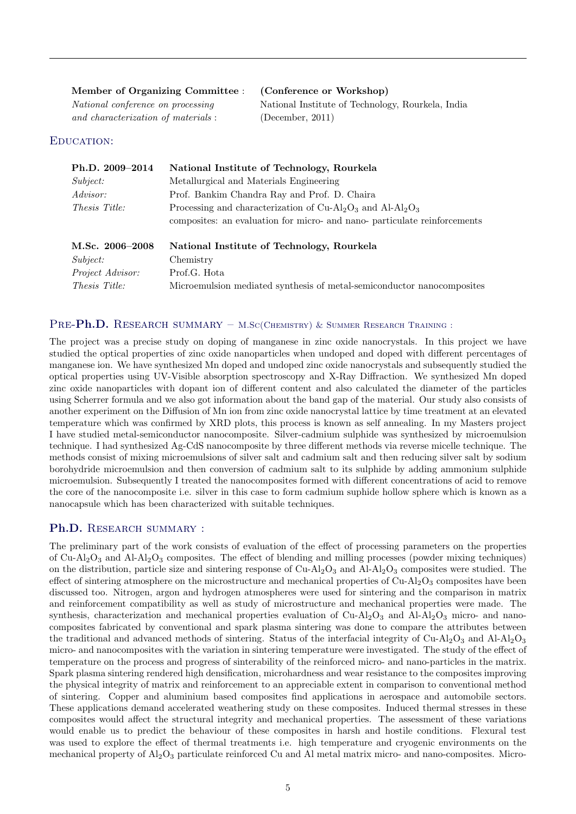Member of Organizing Committee : (Conference or Workshop) and characterization of materials : (December, 2011)

National conference on processing National Institute of Technology, Rourkela, India

### EDUCATION:

| Ph.D. $2009 - 2014$     | National Institute of Technology, Rourkela                                |
|-------------------------|---------------------------------------------------------------------------|
| Subject:                | Metallurgical and Materials Engineering                                   |
| <i>Advisor:</i>         | Prof. Bankim Chandra Ray and Prof. D. Chaira                              |
| <i>Thesis Title:</i>    | Processing and characterization of $Cu-Al2O3$ and $Al-Al2O3$              |
|                         | composites: an evaluation for micro- and nano- particulate reinforcements |
| M.Sc. 2006–2008         | National Institute of Technology, Rourkela                                |
| <i>Subject:</i>         | Chemistry                                                                 |
| <i>Project Advisor:</i> | Prof.G. Hota                                                              |
| <i>Thesis Title:</i>    | Microemulsion mediated synthesis of metal-semiconductor nanocomposites    |

### PRE-Ph.D. RESEARCH SUMMARY – M.SC(CHEMISTRY) & SUMMER RESEARCH TRAINING :

The project was a precise study on doping of manganese in zinc oxide nanocrystals. In this project we have studied the optical properties of zinc oxide nanoparticles when undoped and doped with different percentages of manganese ion. We have synthesized Mn doped and undoped zinc oxide nanocrystals and subsequently studied the optical properties using UV-Visible absorption spectroscopy and X-Ray Diffraction. We synthesized Mn doped zinc oxide nanoparticles with dopant ion of different content and also calculated the diameter of the particles using Scherrer formula and we also got information about the band gap of the material. Our study also consists of another experiment on the Diffusion of Mn ion from zinc oxide nanocrystal lattice by time treatment at an elevated temperature which was confirmed by XRD plots, this process is known as self annealing. In my Masters project I have studied metal-semiconductor nanocomposite. Silver-cadmium sulphide was synthesized by microemulsion technique. I had synthesized Ag-CdS nanocomposite by three different methods via reverse micelle technique. The methods consist of mixing microemulsions of silver salt and cadmium salt and then reducing silver salt by sodium borohydride microemulsion and then conversion of cadmium salt to its sulphide by adding ammonium sulphide microemulsion. Subsequently I treated the nanocomposites formed with different concentrations of acid to remove the core of the nanocomposite i.e. silver in this case to form cadmium suphide hollow sphere which is known as a nanocapsule which has been characterized with suitable techniques.

## Ph.D. RESEARCH SUMMARY :

The preliminary part of the work consists of evaluation of the effect of processing parameters on the properties of  $Cu-Al<sub>2</sub>O<sub>3</sub>$  and  $Al-Al<sub>2</sub>O<sub>3</sub>$  composites. The effect of blending and milling processes (powder mixing techniques) on the distribution, particle size and sintering response of  $Cu-Al<sub>2</sub>O<sub>3</sub>$  and  $Al-Al<sub>2</sub>O<sub>3</sub>$  composites were studied. The effect of sintering atmosphere on the microstructure and mechanical properties of  $Cu-Al<sub>2</sub>O<sub>3</sub>$  composites have been discussed too. Nitrogen, argon and hydrogen atmospheres were used for sintering and the comparison in matrix and reinforcement compatibility as well as study of microstructure and mechanical properties were made. The synthesis, characterization and mechanical properties evaluation of  $Cu-Al<sub>2</sub>O<sub>3</sub>$  and Al-Al<sub>2</sub>O<sub>3</sub> micro- and nanocomposites fabricated by conventional and spark plasma sintering was done to compare the attributes between the traditional and advanced methods of sintering. Status of the interfacial integrity of  $Cu-Al<sub>2</sub>O<sub>3</sub>$  and Al-Al<sub>2</sub>O<sub>3</sub> micro- and nanocomposites with the variation in sintering temperature were investigated. The study of the effect of temperature on the process and progress of sinterability of the reinforced micro- and nano-particles in the matrix. Spark plasma sintering rendered high densification, microhardness and wear resistance to the composites improving the physical integrity of matrix and reinforcement to an appreciable extent in comparison to conventional method of sintering. Copper and aluminium based composites find applications in aerospace and automobile sectors. These applications demand accelerated weathering study on these composites. Induced thermal stresses in these composites would affect the structural integrity and mechanical properties. The assessment of these variations would enable us to predict the behaviour of these composites in harsh and hostile conditions. Flexural test was used to explore the effect of thermal treatments i.e. high temperature and cryogenic environments on the mechanical property of Al<sub>2</sub>O<sub>3</sub> particulate reinforced Cu and Al metal matrix micro- and nano-composites. Micro-